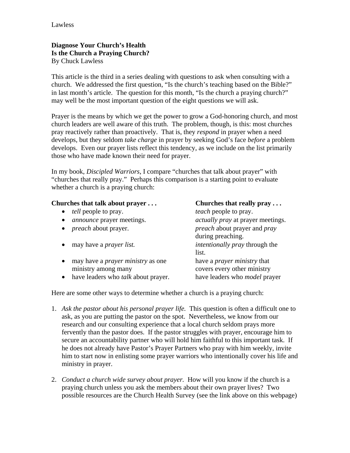## **Diagnose Your Church's Health Is the Church a Praying Church?**  By Chuck Lawless

This article is the third in a series dealing with questions to ask when consulting with a church. We addressed the first question, "Is the church's teaching based on the Bible?" in last month's article. The question for this month, "Is the church a praying church?" may well be the most important question of the eight questions we will ask.

Prayer is the means by which we get the power to grow a God-honoring church, and most church leaders are well aware of this truth. The problem, though, is this: most churches pray reactively rather than proactively. That is, they *respond* in prayer when a need develops, but they seldom *take charge* in prayer by seeking God's face *before* a problem develops. Even our prayer lists reflect this tendency, as we include on the list primarily those who have made known their need for prayer.

In my book, *Discipled Warriors*, I compare "churches that talk about prayer" with "churches that really pray." Perhaps this comparison is a starting point to evaluate whether a church is a praying church:

## **Churches that talk about prayer ... Churches that really pray ...**

| <i>tell</i> people to pray.                | <i>teach</i> people to pray.               |
|--------------------------------------------|--------------------------------------------|
| <i>announce</i> prayer meetings.           | <i>actually pray</i> at prayer meetings.   |
| <i>preach</i> about prayer.                | <i>preach</i> about prayer and <i>pray</i> |
|                                            | during preaching.                          |
| may have a <i>prayer list</i> .            | <i>intentionally pray through the</i>      |
|                                            | list.                                      |
| may have a <i>prayer ministry</i> as one   | have a <i>prayer ministry</i> that         |
| ministry among many                        | covers every other ministry                |
| have leaders who <i>talk</i> about prayer. | have leaders who <i>model</i> prayer       |
|                                            |                                            |

Here are some other ways to determine whether a church is a praying church:

- 1. *Ask the pastor about his personal prayer life.* This question is often a difficult one to ask, as you are putting the pastor on the spot. Nevertheless, we know from our research and our consulting experience that a local church seldom prays more fervently than the pastor does. If the pastor struggles with prayer, encourage him to secure an accountability partner who will hold him faithful to this important task. If he does not already have Pastor's Prayer Partners who pray with him weekly, invite him to start now in enlisting some prayer warriors who intentionally cover his life and ministry in prayer.
- 2. *Conduct a church wide survey about prayer.* How will you know if the church is a praying church unless you ask the members about their own prayer lives? Two possible resources are the Church Health Survey (see the link above on this webpage)